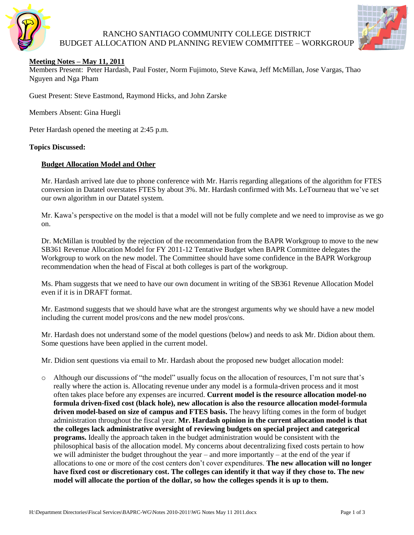

# RANCHO SANTIAGO COMMUNITY COLLEGE DISTRICT BUDGET ALLOCATION AND PLANNING REVIEW COMMITTEE – WORKGROUP



### **Meeting Notes – May 11, 2011**

Members Present: Peter Hardash, Paul Foster, Norm Fujimoto, Steve Kawa, Jeff McMillan, Jose Vargas, Thao Nguyen and Nga Pham

Guest Present: Steve Eastmond, Raymond Hicks, and John Zarske

Members Absent: Gina Huegli

Peter Hardash opened the meeting at 2:45 p.m.

#### **Topics Discussed:**

#### **Budget Allocation Model and Other**

Mr. Hardash arrived late due to phone conference with Mr. Harris regarding allegations of the algorithm for FTES conversion in Datatel overstates FTES by about 3%. Mr. Hardash confirmed with Ms. LeTourneau that we've set our own algorithm in our Datatel system.

Mr. Kawa's perspective on the model is that a model will not be fully complete and we need to improvise as we go on.

Dr. McMillan is troubled by the rejection of the recommendation from the BAPR Workgroup to move to the new SB361 Revenue Allocation Model for FY 2011-12 Tentative Budget when BAPR Committee delegates the Workgroup to work on the new model. The Committee should have some confidence in the BAPR Workgroup recommendation when the head of Fiscal at both colleges is part of the workgroup.

Ms. Pham suggests that we need to have our own document in writing of the SB361 Revenue Allocation Model even if it is in DRAFT format.

Mr. Eastmond suggests that we should have what are the strongest arguments why we should have a new model including the current model pros/cons and the new model pros/cons.

Mr. Hardash does not understand some of the model questions (below) and needs to ask Mr. Didion about them. Some questions have been applied in the current model.

Mr. Didion sent questions via email to Mr. Hardash about the proposed new budget allocation model:

o Although our discussions of "the model" usually focus on the allocation of resources, I'm not sure that's really where the action is. Allocating revenue under any model is a formula-driven process and it most often takes place before any expenses are incurred. **Current model is the resource allocation model-no formula driven-fixed cost (black hole), new allocation is also the resource allocation model-formula driven model-based on size of campus and FTES basis.** The heavy lifting comes in the form of budget administration throughout the fiscal year. **Mr. Hardash opinion in the current allocation model is that the colleges lack administrative oversight of reviewing budgets on special project and categorical programs.** Ideally the approach taken in the budget administration would be consistent with the philosophical basis of the allocation model. My concerns about decentralizing fixed costs pertain to how we will administer the budget throughout the year – and more importantly – at the end of the year if allocations to one or more of the cost centers don't cover expenditures. **The new allocation will no longer have fixed cost or discretionary cost. The colleges can identify it that way if they chose to. The new model will allocate the portion of the dollar, so how the colleges spends it is up to them.**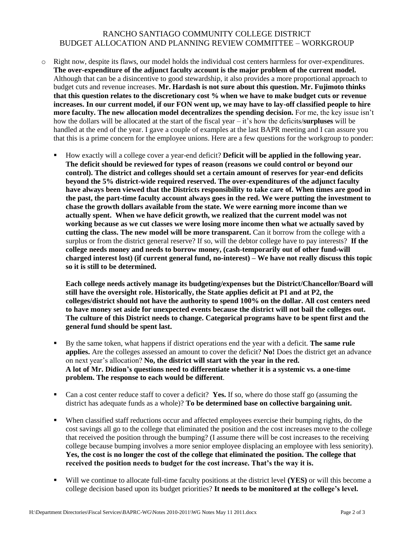## RANCHO SANTIAGO COMMUNITY COLLEGE DISTRICT BUDGET ALLOCATION AND PLANNING REVIEW COMMITTEE – WORKGROUP

- o Right now, despite its flaws, our model holds the individual cost centers harmless for over-expenditures. **The over-expenditure of the adjunct faculty account is the major problem of the current model.**  Although that can be a disincentive to good stewardship, it also provides a more proportional approach to budget cuts and revenue increases. **Mr. Hardash is not sure about this question. Mr. Fujimoto thinks that this question relates to the discretionary cost % when we have to make budget cuts or revenue increases. In our current model, if our FON went up, we may have to lay-off classified people to hire more faculty. The new allocation model decentralizes the spending decision.** For me, the key issue isn't how the dollars will be allocated at the start of the fiscal year – it's how the deficits/**surpluses** will be handled at the end of the year. I gave a couple of examples at the last BAPR meeting and I can assure you that this is a prime concern for the employee unions. Here are a few questions for the workgroup to ponder:
	- How exactly will a college cover a year-end deficit? **Deficit will be applied in the following year. The deficit should be reviewed for types of reason (reasons we could control or beyond our control). The district and colleges should set a certain amount of reserves for year-end deficits beyond the 5% district-wide required reserved. The over-expenditures of the adjunct faculty have always been viewed that the Districts responsibility to take care of. When times are good in the past, the part-time faculty account always goes in the red. We were putting the investment to chase the growth dollars available from the state. We were earning more income than we actually spent. When we have deficit growth, we realized that the current model was not working because as we cut classes we were losing more income then what we actually saved by cutting the class. The new model will be more transparent.** Can it borrow from the college with a surplus or from the district general reserve? If so, will the debtor college have to pay interests? **If the college needs money and needs to borrow money, (cash-temporarily out of other fund-will charged interest lost) (if current general fund, no-interest) – We have not really discuss this topic so it is still to be determined.**

**Each college needs actively manage its budgeting/expenses but the District/Chancellor/Board will still have the oversight role. Historically, the State applies deficit at P1 and at P2, the colleges/district should not have the authority to spend 100% on the dollar. All cost centers need to have money set aside for unexpected events because the district will not bail the colleges out. The culture of this District needs to change. Categorical programs have to be spent first and the general fund should be spent last.**

- By the same token, what happens if district operations end the year with a deficit. **The same rule applies.** Are the colleges assessed an amount to cover the deficit? **No!** Does the district get an advance on next year's allocation? **No, the district will start with the year in the red. A lot of Mr. Didion's questions need to differentiate whether it is a systemic vs. a one-time problem. The response to each would be different**.
- Can a cost center reduce staff to cover a deficit? **Yes.** If so, where do those staff go (assuming the district has adequate funds as a whole)? **To be determined base on collective bargaining unit.**
- When classified staff reductions occur and affected employees exercise their bumping rights, do the cost savings all go to the college that eliminated the position and the cost increases move to the college that received the position through the bumping? (I assume there will be cost increases to the receiving college because bumping involves a more senior employee displacing an employee with less seniority). **Yes, the cost is no longer the cost of the college that eliminated the position. The college that received the position needs to budget for the cost increase. That's the way it is.**
- Will we continue to allocate full-time faculty positions at the district level **(YES)** or will this become a college decision based upon its budget priorities? **It needs to be monitored at the college's level.**